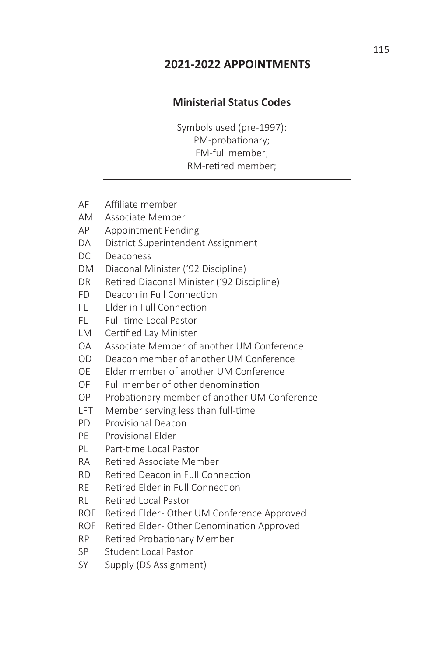# **2021-2022 APPOINTMENTS**

# **Ministerial Status Codes**

Symbols used (pre-1997): PM-probationary; FM-full member; RM-retired member;

- AF Affiliate member
- AM Associate Member
- AP Appointment Pending
- DA District Superintendent Assignment
- DC Deaconess
- DM Diaconal Minister ('92 Discipline)
- DR Retired Diaconal Minister ('92 Discipline)
- FD Deacon in Full Connection
- FE Elder in Full Connection
- FL Full-time Local Pastor
- LM Certified Lay Minister
- OA Associate Member of another UM Conference
- OD Deacon member of another UM Conference
- OE Elder member of another UM Conference
- OF Full member of other denomination
- OP Probationary member of another UM Conference
- LFT Member serving less than full-time
- PD Provisional Deacon
- PE Provisional Elder
- PL Part-time Local Pastor
- RA Retired Associate Member
- RD Retired Deacon in Full Connection
- RE Retired Elder in Full Connection
- RL Retired Local Pastor
- ROE Retired Elder-Other UM Conference Approved
- ROF Retired Elder-Other Denomination Approved
- RP Retired Probationary Member
- SP Student Local Pastor
- SY Supply (DS Assignment)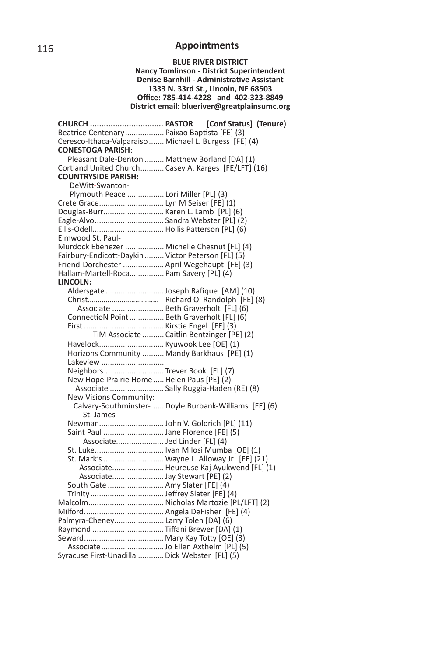#### **BLUE RIVER DISTRICT Nancy Tomlinson - District Superintendent Denise Barnhill - Administrative Assistant 1333 N. 33rd St., Lincoln, NE 68503 Offi ce: 785-414-4228 and 402-323-8849 District email: blueriver@greatplainsumc.org**

| <b>CHURCH  PASTOR</b>                                  | [Conf Status] (Tenure) |  |
|--------------------------------------------------------|------------------------|--|
| Beatrice Centenary Paixao Baptista [FE] (3)            |                        |  |
| Ceresco-Ithaca-Valparaiso  Michael L. Burgess [FE] (4) |                        |  |
| <b>CONESTOGA PARISH:</b>                               |                        |  |
| Pleasant Dale-Denton  Matthew Borland [DA] (1)         |                        |  |
| Cortland United Church Casey A. Karges [FE/LFT] (16)   |                        |  |
| <b>COUNTRYSIDE PARISH:</b>                             |                        |  |
| DeWitt-Swanton-                                        |                        |  |
| Plymouth Peace  Lori Miller [PL] (3)                   |                        |  |
| Crete Grace Lyn M Seiser [FE] (1)                      |                        |  |
| Douglas-Burr Karen L. Lamb [PL] (6)                    |                        |  |
| Eagle-Alvo Sandra Webster [PL] (2)                     |                        |  |
|                                                        |                        |  |
| Elmwood St. Paul-                                      |                        |  |
| Murdock Ebenezer  Michelle Chesnut [FL] (4)            |                        |  |
| Fairbury-Endicott-Daykin  Victor Peterson [FL] (5)     |                        |  |
| Friend-Dorchester  April Wegehaupt [FE] (3)            |                        |  |
| Hallam-Martell-Roca Pam Savery [PL] (4)                |                        |  |
| LINCOLN:                                               |                        |  |
|                                                        |                        |  |
|                                                        |                        |  |
| Associate  Beth Graverholt [FL] (6)                    |                        |  |
| ConnectioN Point  Beth Graverholt [FL] (6)             |                        |  |
|                                                        |                        |  |
| TiM Associate  Caitlin Bentzinger [PE] (2)             |                        |  |
| Havelock Kyuwook Lee [OE] (1)                          |                        |  |
| Horizons Community  Mandy Barkhaus [PE] (1)            |                        |  |
| Lakeview                                               |                        |  |
| Neighbors  Trever Rook [FL] (7)                        |                        |  |
| New Hope-Prairie Home  Helen Paus [PE] (2)             |                        |  |
| Associate  Sally Ruggia-Haden (RE) (8)                 |                        |  |
| New Visions Community:                                 |                        |  |
| Calvary-Southminster- Doyle Burbank-Williams [FE] (6)  |                        |  |
| St. James                                              |                        |  |
|                                                        |                        |  |
| Saint Paul Jane Florence [FE] (5)                      |                        |  |
| Associate Jed Linder [FL] (4)                          |                        |  |
| St. Luke Ivan Milosi Mumba [OE] (1)                    |                        |  |
| St. Mark's  Wayne L. Alloway Jr. [FE] (21)             |                        |  |
| Associate Heureuse Kaj Ayukwend [FL] (1)               |                        |  |
|                                                        |                        |  |
| South Gate  Amy Slater [FE] (4)                        |                        |  |
|                                                        |                        |  |
|                                                        |                        |  |
|                                                        |                        |  |
| Palmyra-Cheney Larry Tolen [DA] (6)                    |                        |  |
| Raymond Tiffani Brewer [DA] (1)                        |                        |  |
|                                                        |                        |  |
|                                                        |                        |  |
| Syracuse First-Unadilla  Dick Webster [FL] (5)         |                        |  |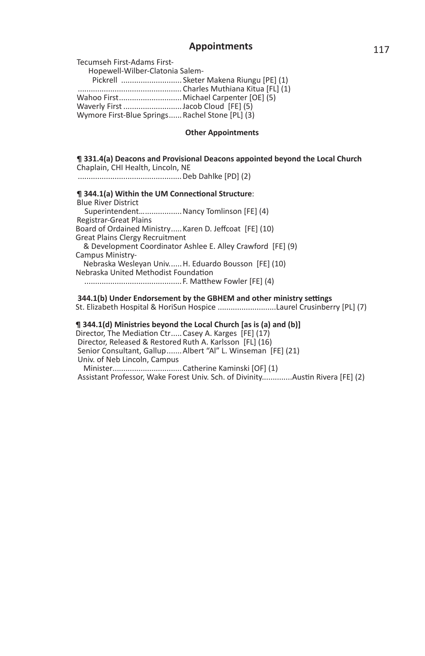Tecumseh First-Adams First-

 Hopewell-Wilber-Clatonia Salem- Pickrell ............................ Sketer Makena Riungu [PE] (1) ................................................ Charles Muthiana Kitua [FL] (1) Wahoo First............................... Michael Carpenter [OE] (5) Waverly First ...........................Jacob Cloud [FE] (5) Wymore First-Blue Springs ...... Rachel Stone [PL] (3)

#### **Other Appointments**

### **¶ 331.4(a) Deacons and Provisional Deacons appointed beyond the Local Church** Chaplain, CHI Health, Lincoln, NE ................................................Deb Dahlke [PD] (2) **¶ 344.1(a) Within the UM Connectional Structure:** Blue River District Superintendent… .................Nancy Tomlinson [FE] (4) Registrar-Great Plains Board of Ordained Ministry ..... Karen D. Jeffcoat [FE] (10) Great Plains Clergy Recruitment & Development Coordinator Ashlee E. Alley Crawford [FE] (9) Campus Ministry- Nebraska Wesleyan Univ. .....H. Eduardo Bousson [FE] (10) Nebraska United Methodist Foundation .............................................F. MaƩ hew Fowler [FE] (4)  **344.1(b)** Under Endorsement by the GBHEM and other ministry settings

St. Elizabeth Hospital & HoriSun Hospice ...........................Laurel Crusinberry [PL] (7)

#### **¶ 344.1(d) Ministries beyond the Local Church [as is (a) and (b)]**

Director, The Mediation Ctr ..... Casey A. Karges [FE] (17) Director, Released & Restored Ruth A. Karlsson [FL] (16) Senior Consultant, Gallup .......Albert "Al" L. Winseman [FE] (21) Univ. of Neb Lincoln, Campus

 Minister................................Catherine Kaminski [OF] (1) Assistant Professor, Wake Forest Univ. Sch. of Divinity..............Austin Rivera [FE] (2)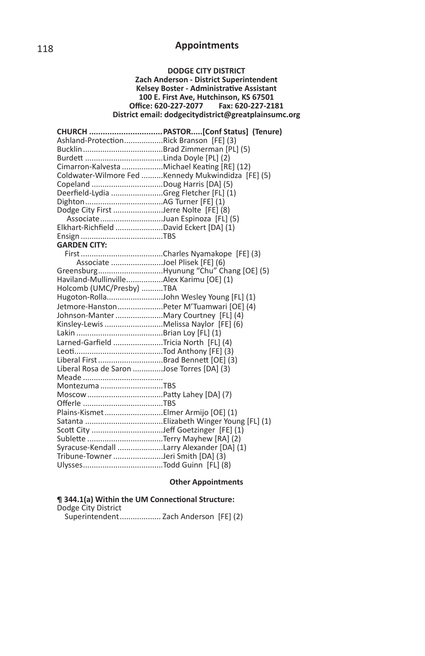#### **DODGE CITY DISTRICT Zach Anderson - District Superintendent Kelsey Boster - Administrative Assistant 100 E. First Ave, Hutchinson, KS 67501 Offi ce: 620-227-2077 Fax: 620-227-2181 District email: dodgecitydistrict@greatplainsumc.org**

| Ashland-ProtectionRick Branson [FE] (3)                                     |                                                    |  |  |
|-----------------------------------------------------------------------------|----------------------------------------------------|--|--|
|                                                                             |                                                    |  |  |
|                                                                             |                                                    |  |  |
|                                                                             | Cimarron-Kalvesta Michael Keating [RE] (12)        |  |  |
|                                                                             | Coldwater-Wilmore Fed Kennedy Mukwindidza [FE] (5) |  |  |
|                                                                             |                                                    |  |  |
| Deerfield-Lydia Greg Fletcher [FL] (1)                                      |                                                    |  |  |
|                                                                             |                                                    |  |  |
| Dodge City First Jerre Nolte [FE] (8)                                       |                                                    |  |  |
|                                                                             |                                                    |  |  |
| Associate Juan Espinoza [FL] (5)<br>Elkhart-Richfield David Eckert [DA] (1) |                                                    |  |  |
|                                                                             |                                                    |  |  |
| <b>GARDEN CITY:</b>                                                         |                                                    |  |  |
|                                                                             |                                                    |  |  |
| Associate Joel Plisek [FE] (6)                                              |                                                    |  |  |
|                                                                             | GreensburgHyunung "Chu" Chang [OE] (5)             |  |  |
| Haviland-MullinvilleAlex Karimu [OE] (1)                                    |                                                    |  |  |
| Holcomb (UMC/Presby) TBA                                                    |                                                    |  |  |
|                                                                             | Hugoton-RollaJohn Wesley Young [FL] (1)            |  |  |
|                                                                             | Jetmore-HanstonPeter M'Tuamwari [OE] (4)           |  |  |
| Johnson-Manter Mary Courtney [FL] (4)                                       |                                                    |  |  |
| Kinsley-Lewis Melissa Naylor [FE] (6)                                       |                                                    |  |  |
|                                                                             |                                                    |  |  |
| Larned-Garfield Tricia North [FL] (4)                                       |                                                    |  |  |
|                                                                             |                                                    |  |  |
| Liberal First Brad Bennett [OE] (3)                                         |                                                    |  |  |
| Liberal Rosa de Saron Jose Torres [DA] (3)                                  |                                                    |  |  |
|                                                                             |                                                    |  |  |
| Montezuma TBS                                                               |                                                    |  |  |
|                                                                             |                                                    |  |  |
|                                                                             |                                                    |  |  |
| Plains-Kismet Elmer Armijo [OE] (1)                                         |                                                    |  |  |
|                                                                             |                                                    |  |  |
|                                                                             |                                                    |  |  |
|                                                                             |                                                    |  |  |
| Syracuse-Kendall Larry Alexander [DA] (1)                                   |                                                    |  |  |
| Tribune-Towner Jeri Smith [DA] (3)                                          |                                                    |  |  |
|                                                                             |                                                    |  |  |

### **Other Appointments**

#### **¶ 344.1(a) Within the UM ConnecƟ onal Structure:** Dodge City District

Superintendent ................... Zach Anderson [FE] (2)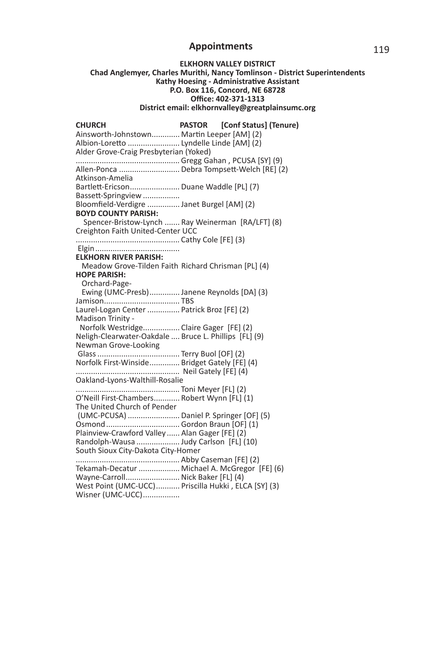#### **ELKHORN VALLEY DISTRICT**

#### **Chad Anglemyer, Charles Murithi, Nancy Tomlinson - District Superintendents Kathy Hoesing - Administrative Assistant P.O. Box 116, Concord, NE 68728 Offi ce: 402-371-1313 District email: elkhornvalley@greatplainsumc.org**

**CHURCH PASTOR [Conf Status] (Tenure)**  Ainsworth-Johnstown............. Martin Leeper [AM] (2) Albion-Loretto ......................... Lyndelle Linde [AM] (2) Alder Grove-Craig Presbyterian (Yoked) ................................................ Gregg Gahan , PCUSA [SY] (9) Allen-Ponca ................................. Debra Tompsett-Welch [RE] (2) Atkinson-Amelia Bartlett-Ericson........................ Duane Waddle [PL] (7) Bassett-Springview ................. Bloomfield-Verdigre ............... Janet Burgel [AM] (2) **BOYD COUNTY PARISH:** Spencer-Bristow-Lynch ....... Ray Weinerman [RA/LFT] (8) Creighton Faith United-Center UCC ................................................ Cathy Cole [FE] (3) Elgin ....................................... **ELKHORN RIVER PARISH:** Meadow Grove-Tilden Faith Richard Chrisman [PL] (4) **HOPE PARISH:** Orchard-Page- Ewing (UMC-Presb) .............. Janene Reynolds [DA] (3) Jamison ................................... TBS Laurel-Logan Center ............... Patrick Broz [FE] (2) Madison Trinity - Norfolk Westridge.................. Claire Gager [FE] (2) Neligh-Clearwater-Oakdale .... Bruce L. Phillips [FL] (9) Newman Grove-Looking Glass ...................................... Terry Buol [OF] (2) Norfolk First-Winside .............. Bridget Gately [FE] (4) ................................................ Neil Gately [FE] (4) Oakland-Lyons-Walthill-Rosalie ................................................ Toni Meyer [FL] (2) O'Neill First-Chambers ............ Robert Wynn [FL] (1) The United Church of Pender (UMC-PCUSA) ........................ Daniel P. Springer [OF] (5) Osmond .................................. Gordon Braun [OF] (1) Plainview-Crawford Valley ...... Alan Gager [FE] (2) Randolph-Wausa .................... Judy Carlson [FL] (10) South Sioux City-Dakota City-Homer ................................................ Abby Caseman [FE] (2) Tekamah-Decatur ................... Michael A. McGregor [FE] (6) Wayne-Carroll ......................... Nick Baker [FL] (4) West Point (UMC-UCC) ........... Priscilla Hukki , ELCA [SY] (3) Wisner (UMC-UCC)................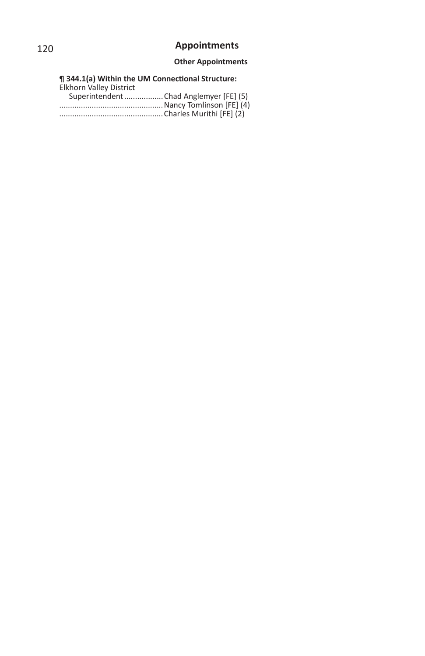### **Other Appointments**

**¶ 344.1(a) Within the UM ConnecƟ onal Structure:** Elkhorn Valley District Superintendent ..................Chad Anglemyer [FE] (5) ................................................Nancy Tomlinson [FE] (4) ................................................Charles Murithi [FE] (2)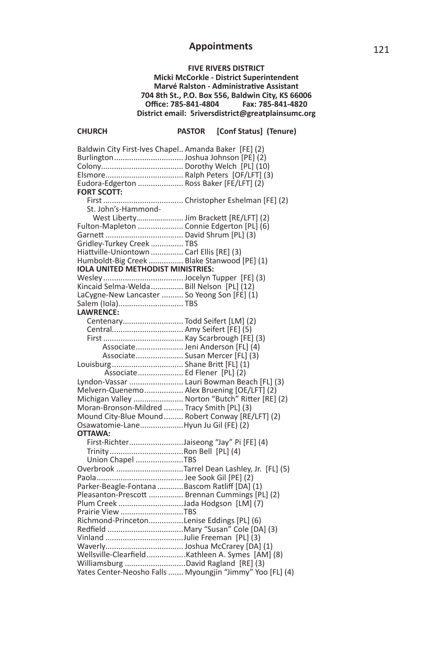### **FIVE RIVERS DISTRICT**

**Micki McCorkle - District Superintendent Marvé Ralston - Administrative Assistant 704 8th St., P.O. Box 556, Baldwin City, KS 66006 Offi ce: 785-841-4804 Fax: 785-841-4820 District email: 5riversdistrict@greatplainsumc.org**

**CHURCH PASTOR [Conf Status] (Tenure)** 

| Baldwin City First-Ives Chapel Amanda Baker [FE] (2)           |                                                           |
|----------------------------------------------------------------|-----------------------------------------------------------|
|                                                                |                                                           |
|                                                                |                                                           |
|                                                                |                                                           |
| Eudora-Edgerton  Ross Baker [FE/LFT] (2)                       |                                                           |
| <b>FORT SCOTT:</b>                                             |                                                           |
|                                                                |                                                           |
| St. John's-Hammond-                                            |                                                           |
| West Liberty Jim Brackett [RE/LFT] (2)                         |                                                           |
| Fulton-Mapleton  Connie Edgerton [PL] (6)                      |                                                           |
|                                                                |                                                           |
| Gridley-Turkey Creek  TBS                                      |                                                           |
| Hiattville-Uniontown  Carl Ellis [RE] (3)                      |                                                           |
| Humboldt-Big Creek  Blake Stanwood [PE] (1)                    |                                                           |
| <b>IOLA UNITED METHODIST MINISTRIES:</b>                       |                                                           |
|                                                                |                                                           |
| Kincaid Selma-Welda  Bill Nelson [PL] (12)                     |                                                           |
| LaCygne-New Lancaster  So Yeong Son [FE] (1)                   |                                                           |
| Salem (Iola) TBS                                               |                                                           |
| <b>LAWRENCE:</b>                                               |                                                           |
| Centenary Todd Seifert [LM] (2)                                |                                                           |
| Central Amy Seifert [FE] (5)                                   |                                                           |
|                                                                |                                                           |
| Associate Jeni Anderson [FL] (4)                               |                                                           |
|                                                                |                                                           |
| Associate Susan Mercer [FL] (3)                                |                                                           |
| Louisburg Shane Britt [FL] (1)<br>Associate Ed Flener [PL] (2) |                                                           |
|                                                                |                                                           |
| Lyndon-Vassar  Lauri Bowman Beach [FL] (3)                     |                                                           |
| Melvern-Quenemo Alex Bruening [OE/LFT] (2)                     |                                                           |
| Michigan Valley  Norton "Butch" Ritter [RE] (2)                |                                                           |
| Moran-Bronson-Mildred  Tracy Smith [PL] (3)                    |                                                           |
| Mound City-Blue Mound Robert Conway [RE/LFT] (2)               |                                                           |
| Osawatomie-LaneHyun Ju Gil (FE) (2)                            |                                                           |
| OTTAWA:                                                        |                                                           |
| First-RichterJaiseong "Jay" Pi [FE] (4)                        |                                                           |
|                                                                |                                                           |
| Union Chapel TBS                                               |                                                           |
|                                                                | Overbrook Tarrel Dean Lashley, Jr. [FL] (5)               |
|                                                                |                                                           |
| Parker-Beagle-Fontana Bascom Ratliff [DA] (1)                  |                                                           |
| Pleasanton-Prescott  Brennan Cummings [PL] (2)                 |                                                           |
| Plum Creek Jada Hodgson [LM] (7)                               |                                                           |
| Prairie View TBS                                               |                                                           |
| Richmond-PrincetonLenise Eddings [PL] (6)                      |                                                           |
|                                                                |                                                           |
| Vinland Julie Freeman [PL] (3)                                 |                                                           |
|                                                                |                                                           |
| Wellsville-ClearfieldKathleen A. Symes [AM] (8)                |                                                           |
|                                                                |                                                           |
|                                                                | Yates Center-Neosho Falls  Myoungjin "Jimmy" Yoo [FL] (4) |
|                                                                |                                                           |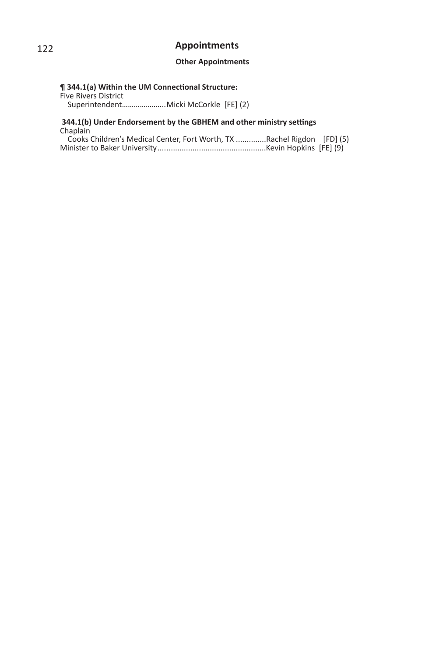### **Other Appointments**

# **¶ 344.1(a) Within the UM Connectional Structure:**

Five Rivers District Superintendent………………....Micki McCorkle [FE] (2)

#### **344.1(b)** Under Endorsement by the GBHEM and other ministry settings Chaplain

| Cooks Children's Medical Center, Fort Worth, TX Rachel Rigdon [FD] (5) |  |
|------------------------------------------------------------------------|--|
|                                                                        |  |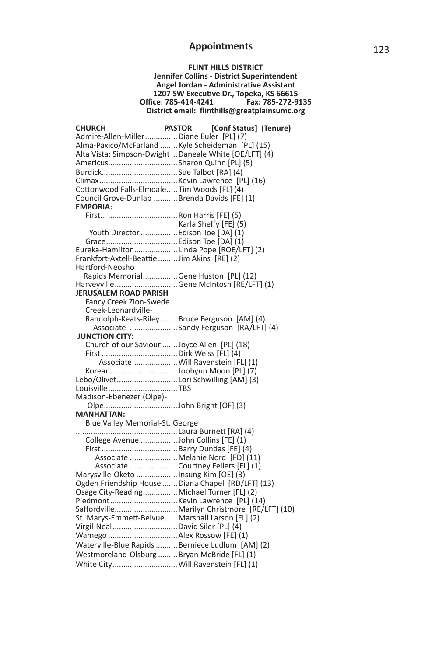**FLINT HILLS DISTRICT Jennifer Collins - District Superintendent Angel Jordan - AdministraƟ ve Assistant 1207 SW ExecuƟ ve Dr., Topeka, KS 66615 Offi ce: 785-414-4241 Fax: 785-272-9135** District email: flinthills@greatplainsumc.org

| <b>CHURCH</b>                                | <b>PASTOR</b><br>[Conf Status] (Tenure)                |
|----------------------------------------------|--------------------------------------------------------|
| Admire-Allen-Miller Diane Euler [PL] (7)     |                                                        |
|                                              | Alma-Paxico/McFarland  Kyle Scheideman [PL] (15)       |
|                                              | Alta Vista: Simpson-Dwight  Daneale White [OE/LFT] (4) |
| AmericusSharon Quinn [PL] (5)                |                                                        |
|                                              |                                                        |
|                                              |                                                        |
| Cottonwood Falls-Elmdale Tim Woods [FL] (4)  |                                                        |
|                                              |                                                        |
| <b>EMPORIA:</b>                              | Council Grove-Dunlap Brenda Davids [FE] (1)            |
|                                              |                                                        |
|                                              |                                                        |
|                                              | Karla Sheffy [FE] (5)                                  |
|                                              | Youth Director  Edison Toe [DA] (1)                    |
| Grace Edison Toe [DA] (1)                    |                                                        |
|                                              | Eureka-HamiltonLinda Pope [ROE/LFT] (2)                |
| Frankfort-Axtell-Beattie  Jim Akins [RE] (2) |                                                        |
| Hartford-Neosho                              |                                                        |
|                                              | Rapids MemorialGene Huston [PL] (12)                   |
|                                              | HarveyvilleGene McIntosh [RE/LFT] (1)                  |
| <b>JERUSALEM ROAD PARISH</b>                 |                                                        |
| Fancy Creek Zion-Swede                       |                                                        |
| Creek-Leonardville-                          |                                                        |
|                                              | Randolph-Keats-RileyBruce Ferguson [AM] (4)            |
|                                              | Associate Sandy Ferguson [RA/LFT] (4)                  |
| <b>JUNCTION CITY:</b>                        |                                                        |
|                                              | Church of our Saviour  Joyce Allen [PL] (18)           |
|                                              |                                                        |
|                                              | Associate Will Ravenstein [FL] (1)                     |
|                                              | KoreanJoohyun Moon [PL] (7)                            |
|                                              | Lebo/Olivet Lori Schwilling [AM] (3)                   |
| LouisvilleTBS                                |                                                        |
| Madison-Ebenezer (Olpe)-                     |                                                        |
|                                              |                                                        |
| <b>MANHATTAN:</b>                            |                                                        |
| Blue Valley Memorial-St. George              |                                                        |
|                                              |                                                        |
|                                              | College Avenue John Collins [FE] (1)                   |
|                                              |                                                        |
|                                              | Associate  Melanie Nord [FD] (11)                      |
|                                              | Associate  Courtney Fellers [FL] (1)                   |
| Marysville-Oketo Insung Kim [OE] (3)         |                                                        |
|                                              | Ogden Friendship House  Diana Chapel [RD/LFT] (13)     |
|                                              | Osage City-Reading Michael Turner [FL] (2)             |
|                                              |                                                        |
|                                              |                                                        |
|                                              | St. Marys-Emmett-Belvue Marshall Larson [FL] (2)       |
| Virgil-Neal David Siler [PL] (4)             |                                                        |
| Wamego  Alex Rossow [FE] (1)                 |                                                        |
|                                              | Waterville-Blue Rapids  Berniece Ludlum [AM] (2)       |
|                                              | Westmoreland-Olsburg  Bryan McBride [FL] (1)           |
|                                              | White City Will Ravenstein [FL] (1)                    |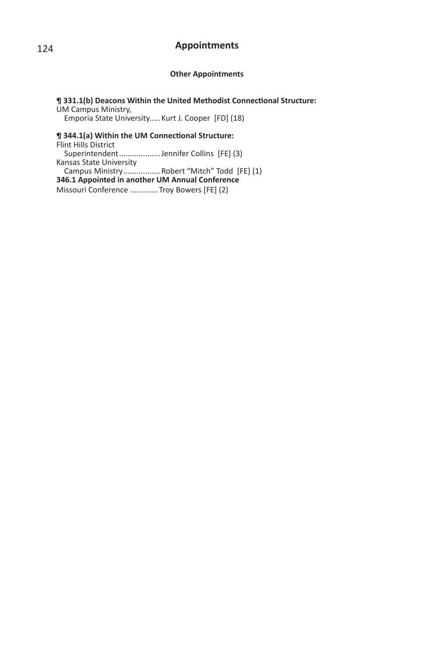#### **Other Appointments**

#### $\P$  331.1(b) Deacons Within the United Methodist Connectional Structure: UM Campus Ministry,

Emporia State University.. ... Kurt J. Cooper [FD] (18)

## **¶ 344.1(a) Within the UM Connectional Structure:** Flint Hills District

 Superintendent ................... Jennifer Collins [FE] (3) Kansas State University Campus Ministry ................. Robert "Mitch" Todd [FE] (1) **346.1 Appointed in another UM Annual Conference** Missouri Conference .............Troy Bowers [FE] (2)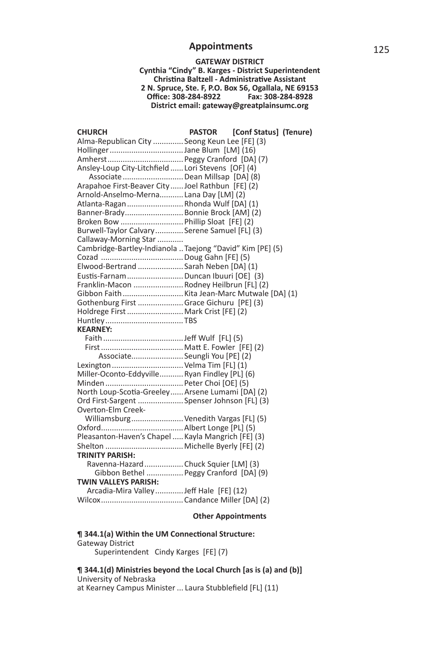#### **GATEWAY DISTRICT Cynthia "Cindy" B. Karges - District Superintendent ChrisƟ na Baltzell - AdministraƟ ve Assistant 2 N. Spruce, Ste. F, P.O. Box 56, Ogallala, NE 69153 Offi ce: 308-284-8922 Fax: 308-284-8928 District email: gateway@greatplainsumc.org**

| <b>CHURCH</b>                                                     | <b>PASTOR</b> | [Conf Status] (Tenure) |
|-------------------------------------------------------------------|---------------|------------------------|
| Alma-Republican City  Seong Keun Lee [FE] (3)                     |               |                        |
| HollingerJane Blum [LM] (16)                                      |               |                        |
|                                                                   |               |                        |
| Ansley-Loup City-Litchfield  Lori Stevens [OF] (4)                |               |                        |
| Associate  Dean Millsap [DA] (8)                                  |               |                        |
| Arapahoe First-Beaver City  Joel Rathbun [FE] (2)                 |               |                        |
| Arnold-Anselmo-MernaLana Day [LM] (2)                             |               |                        |
| Atlanta-Ragan Rhonda Wulf [DA] (1)                                |               |                        |
| Banner-Brady Bonnie Brock [AM] (2)                                |               |                        |
| Broken Bow  Phillip Sloat [FE] (2)                                |               |                        |
| Burwell-Taylor Calvary Serene Samuel [FL] (3)                     |               |                        |
| Callaway-Morning Star                                             |               |                        |
| Cambridge-Bartley-Indianola  Taejong "David" Kim [PE] (5)         |               |                        |
|                                                                   |               |                        |
| Elwood-Bertrand  Sarah Neben [DA] (1)                             |               |                        |
| Eustis-Farnam Duncan Ibuuri [OE] (3)                              |               |                        |
| Franklin-Macon  Rodney Heilbrun [FL] (2)                          |               |                        |
|                                                                   |               |                        |
| Gothenburg First Grace Gichuru [PE] (3)                           |               |                        |
| Holdrege First  Mark Crist [FE] (2)                               |               |                        |
|                                                                   |               |                        |
| <b>KEARNEY:</b>                                                   |               |                        |
|                                                                   |               |                        |
|                                                                   |               |                        |
| Associate Seungli You [PE] (2)                                    |               |                        |
|                                                                   |               |                        |
| Lexington  Velma Tim [FL] (1)                                     |               |                        |
| Miller-Oconto-Eddyville Ryan Findley [PL] (6)                     |               |                        |
|                                                                   |               |                        |
| North Loup-Scotia-Greeley Arsene Lumami [DA] (2)                  |               |                        |
| Ord First-Sargent  Spenser Johnson [FL] (3)<br>Overton-Elm Creek- |               |                        |
|                                                                   |               |                        |
| Williamsburg Venedith Vargas [FL] (5)                             |               |                        |
|                                                                   |               |                        |
| Pleasanton-Haven's Chapel  Kayla Mangrich [FE] (3)                |               |                        |
|                                                                   |               |                        |
| <b>TRINITY PARISH:</b>                                            |               |                        |
| Ravenna-Hazard Chuck Squier [LM] (3)                              |               |                        |
| Gibbon Bethel  Peggy Cranford [DA] (9)                            |               |                        |
| <b>TWIN VALLEYS PARISH:</b>                                       |               |                        |
| Arcadia-Mira Valley Jeff Hale [FE] (12)                           |               |                        |
|                                                                   |               |                        |

### **Other Appointments**

#### **¶ 344.1(a) Within the UM Connectional Structure:** Gateway District Superintendent Cindy Karges [FE] (7)

**¶ 344.1(d) Ministries beyond the Local Church [as is (a) and (b)]** University of Nebraska at Kearney Campus Minister ... Laura Stubblefield [FL] (11)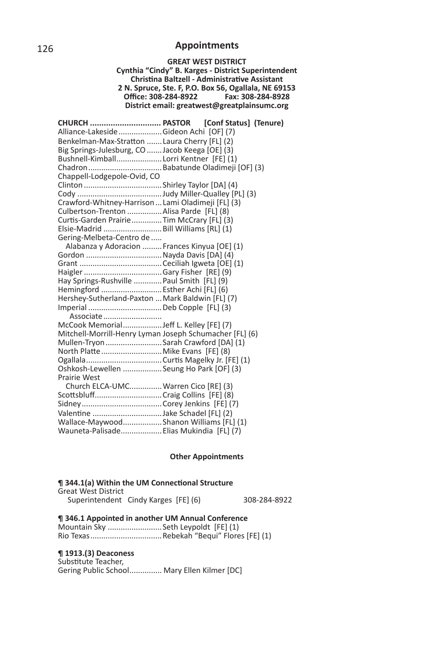#### **GREAT WEST DISTRICT Cynthia "Cindy" B. Karges - District Superintendent ChrisƟ na Baltzell - AdministraƟ ve Assistant 2 N. Spruce, Ste. F, P.O. Box 56, Ogallala, NE 69153 Offi ce: 308-284-8922 Fax: 308-284-8928 District email: greatwest@greatplainsumc.org**

|                                                         | CHURCH  PASTOR [Conf Status] (Tenure) |
|---------------------------------------------------------|---------------------------------------|
| Alliance-Lakeside  Gideon Achi [OF] (7)                 |                                       |
| Benkelman-Max-Stratton  Laura Cherry [FL] (2)           |                                       |
| Big Springs-Julesburg, CO  Jacob Keega [OE] (3)         |                                       |
| Bushnell-Kimball Lorri Kentner [FE] (1)                 |                                       |
|                                                         |                                       |
| Chappell-Lodgepole-Ovid, CO                             |                                       |
|                                                         |                                       |
|                                                         |                                       |
| Crawford-Whitney-Harrison  Lami Oladimeji [FL] (3)      |                                       |
| Culbertson-Trenton  Alisa Parde [FL] (8)                |                                       |
| Curtis-Garden PrairieTim McCrary [FL] (3)               |                                       |
| Elsie-Madrid  Bill Williams [RL] (1)                    |                                       |
| Gering-Melbeta-Centro de                                |                                       |
| Alabanza y Adoracion  Frances Kinyua [OE] (1)           |                                       |
| Gordon  Nayda Davis [DA] (4)                            |                                       |
|                                                         |                                       |
|                                                         |                                       |
| Hay Springs-Rushville  Paul Smith [FL] (9)              |                                       |
| Hemingford  Esther Achi [FL] (6)                        |                                       |
| Hershey-Sutherland-Paxton  Mark Baldwin [FL] (7)        |                                       |
|                                                         |                                       |
| Associate                                               |                                       |
|                                                         |                                       |
| Mitchell-Morrill-Henry Lyman Joseph Schumacher [FL] (6) |                                       |
| Mullen-Tryon  Sarah Crawford [DA] (1)                   |                                       |
| North Platte  Mike Evans [FE] (8)                       |                                       |
|                                                         |                                       |
| Oshkosh-Lewellen  Seung Ho Park [OF] (3)                |                                       |
| <b>Prairie West</b>                                     |                                       |
| Church ELCA-UMC Warren Cico [RE] (3)                    |                                       |
|                                                         |                                       |
|                                                         |                                       |
| Valentine Jake Schadel [FL] (2)                         |                                       |
| Wallace-Maywood Shanon Williams [FL] (1)                |                                       |
| Wauneta-Palisade Elias Mukindia [FL] (7)                |                                       |

#### **Other Appointments**

### $\P$  344.1(a) Within the UM Connectional Structure

| Great West District                  |  |              |
|--------------------------------------|--|--------------|
| Superintendent Cindy Karges [FE] (6) |  | 308-284-8922 |

**¶ 346.1 Appointed in another UM Annual Conference**

Mountain Sky .........................Seth Leypoldt [FE] (1) Rio Texas .................................Rebekah "Bequi" Flores [FE] (1)

#### **¶ 1913.(3) Deaconess**

Substitute Teacher, Gering Public School ............... Mary Ellen Kilmer [DC]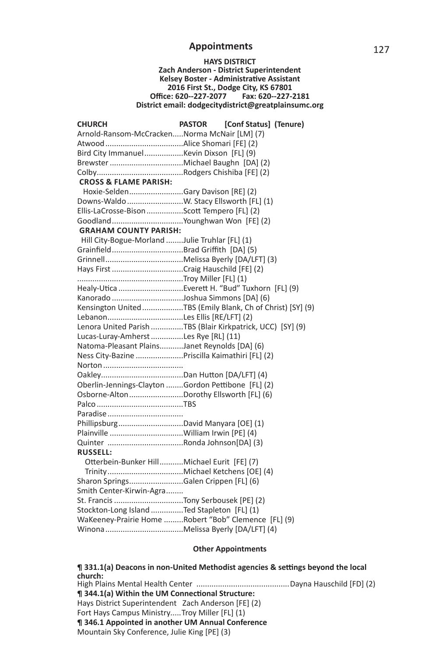#### **HAYS DISTRICT Zach Anderson - District Superintendent Kelsey Boster - Administrative Assistant 2016 First St., Dodge City, KS 67801 Offi ce: 620--227-2077 Fax: 620--227-2181 District email: dodgecitydistrict@greatplainsumc.org**

| <b>CHURCH</b>                                      | <b>PASTOR</b><br>[Conf Status] (Tenure)                    |  |  |
|----------------------------------------------------|------------------------------------------------------------|--|--|
| Arnold-Ransom-McCrackenNorma McNair [LM] (7)       |                                                            |  |  |
|                                                    |                                                            |  |  |
|                                                    |                                                            |  |  |
|                                                    |                                                            |  |  |
|                                                    |                                                            |  |  |
| <b>CROSS &amp; FLAME PARISH:</b>                   |                                                            |  |  |
| Hoxie-SeldenGary Davison [RE] (2)                  |                                                            |  |  |
|                                                    |                                                            |  |  |
| Ellis-LaCrosse-BisonScott Tempero [FL] (2)         |                                                            |  |  |
|                                                    |                                                            |  |  |
| <b>GRAHAM COUNTY PARISH:</b>                       |                                                            |  |  |
| Hill City-Bogue-Morland Julie Truhlar [FL] (1)     |                                                            |  |  |
|                                                    |                                                            |  |  |
|                                                    |                                                            |  |  |
|                                                    |                                                            |  |  |
|                                                    |                                                            |  |  |
|                                                    |                                                            |  |  |
|                                                    |                                                            |  |  |
|                                                    | Kensington United TBS (Emily Blank, Ch of Christ) [SY] (9) |  |  |
|                                                    |                                                            |  |  |
|                                                    | Lenora United Parish TBS (Blair Kirkpatrick, UCC) [SY] (9) |  |  |
| Lucas-Luray-Amherst Les Rye [RL] (11)              |                                                            |  |  |
| Natoma-Pleasant PlainsJanet Reynolds [DA] (6)      |                                                            |  |  |
| Ness City-Bazine Priscilla Kaimathiri [FL] (2)     |                                                            |  |  |
|                                                    |                                                            |  |  |
|                                                    |                                                            |  |  |
| Oberlin-Jennings-Clayton Gordon Pettibone [FL] (2) |                                                            |  |  |
| Osborne-AltonDorothy Ellsworth [FL] (6)            |                                                            |  |  |
|                                                    |                                                            |  |  |
|                                                    |                                                            |  |  |
| PhillipsburgDavid Manyara [OE] (1)                 |                                                            |  |  |
|                                                    |                                                            |  |  |
|                                                    |                                                            |  |  |
| <b>RUSSELL:</b>                                    |                                                            |  |  |
| Otterbein-Bunker HillMichael Eurit [FE] (7)        |                                                            |  |  |
|                                                    |                                                            |  |  |
| Sharon SpringsGalen Crippen [FL] (6)               |                                                            |  |  |
| Smith Center-Kirwin-Agra                           |                                                            |  |  |
|                                                    |                                                            |  |  |
| Stockton-Long Island Ted Stapleton [FL] (1)        |                                                            |  |  |
|                                                    | WaKeeney-Prairie Home Robert "Bob" Clemence [FL] (9)       |  |  |
|                                                    |                                                            |  |  |

### **Other Appointments**

**¶ 331.1(a) Deacons in non-United Methodist agencies & settings beyond the local church:** High Plains Mental Health Center ...........................................Dayna Hauschild [FD] (2) **¶ 344.1(a) Within the UM Connectional Structure:** Hays District Superintendent Zach Anderson [FE] (2) Fort Hays Campus Ministry.....Troy Miller [FL] (1) **¶ 346.1 Appointed in another UM Annual Conference** Mountain Sky Conference, Julie King [PE] (3)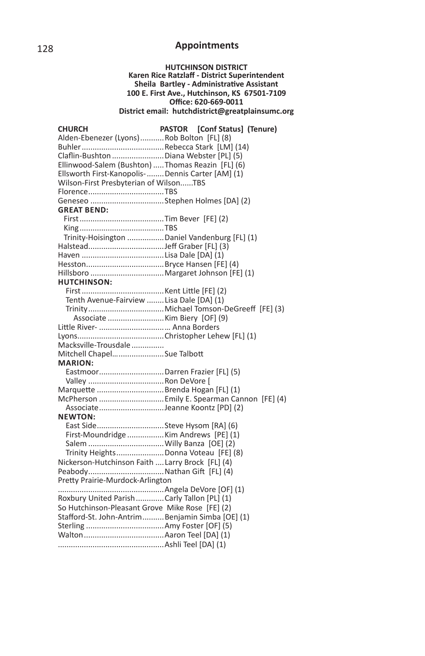### **HUTCHINSON DISTRICT Karen Rice Ratzlaff - District Superintendent Sheila Bartley - AdministraƟ ve Assistant 100 E. First Ave., Hutchinson, KS 67501-7109 Offi ce: 620-669-0011 District email: hutchdistrict@greatplainsumc.org**

| <b>CHURCH</b>                                      | PASTOR [Conf Status] (Tenure)                |
|----------------------------------------------------|----------------------------------------------|
| Alden-Ebenezer (Lyons) Rob Bolton [FL] (8)         |                                              |
|                                                    |                                              |
| Claflin-Bushton Diana Webster [PL] (5)             |                                              |
| Ellinwood-Salem (Bushton)  Thomas Reazin [FL] (6)  |                                              |
| Ellsworth First-Kanopolis-  Dennis Carter [AM] (1) |                                              |
| Wilson-First Presbyterian of WilsonTBS             |                                              |
|                                                    |                                              |
|                                                    |                                              |
| <b>GREAT BEND:</b>                                 |                                              |
|                                                    |                                              |
|                                                    |                                              |
| Trinity-Hoisington  Daniel Vandenburg [FL] (1)     |                                              |
|                                                    |                                              |
|                                                    |                                              |
|                                                    |                                              |
|                                                    |                                              |
| <b>HUTCHINSON:</b>                                 |                                              |
|                                                    |                                              |
| Tenth Avenue-Fairview Lisa Dale [DA] (1)           |                                              |
|                                                    |                                              |
|                                                    |                                              |
| Little River-  Anna Borders                        |                                              |
|                                                    |                                              |
| Macksville-Trousdale                               |                                              |
| Mitchell ChapelSue Talbott                         |                                              |
| <b>MARION:</b>                                     |                                              |
| EastmoorDarren Frazier [FL] (5)                    |                                              |
|                                                    |                                              |
| Marquette  Brenda Hogan [FL] (1)                   |                                              |
|                                                    | McPherson  Emily E. Spearman Cannon [FE] (4) |
| AssociateJeanne Koontz [PD] (2)                    |                                              |
| NEWTON:                                            |                                              |
| East SideSteve Hysom [RA] (6)                      |                                              |
| First-Moundridge Kim Andrews [PE] (1)              |                                              |
|                                                    |                                              |
| Trinity Heights  Donna Voteau [FE] (8)             |                                              |
| Nickerson-Hutchinson Faith  Larry Brock [FL] (4)   |                                              |
|                                                    |                                              |
| Pretty Prairie-Murdock-Arlington                   |                                              |
|                                                    |                                              |
| Roxbury United ParishCarly Tallon [PL] (1)         |                                              |
| So Hutchinson-Pleasant Grove Mike Rose [FE] (2)    |                                              |
| Stafford-St. John-AntrimBenjamin Simba [OE] (1)    |                                              |
|                                                    |                                              |
|                                                    |                                              |
|                                                    |                                              |
|                                                    |                                              |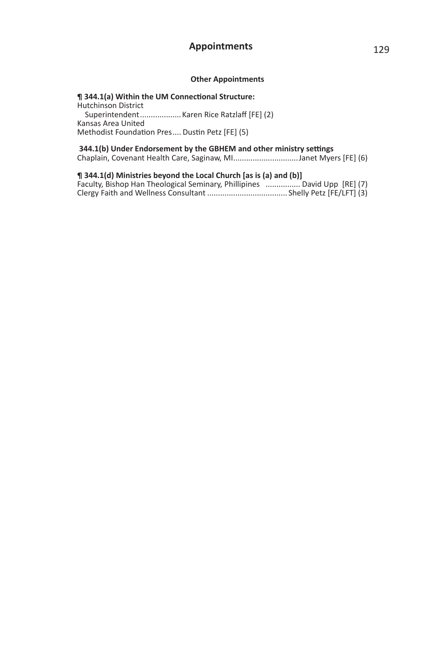### **Other Appointments**

**¶ 344.1(a) Within the UM Connectional Structure:** Hutchinson District Superintendent ................... Karen Rice Ratzlaff [FE] (2) Kansas Area United Methodist Foundation Pres .... Dustin Petz [FE] (5)

#### 344.1(b) Under Endorsement by the GBHEM and other ministry settings Chaplain, Covenant Health Care, Saginaw, MI ..............................Janet Myers [FE] (6)

**¶ 344.1(d) Ministries beyond the Local Church [as is (a) and (b)]** Faculty, Bishop Han Theological Seminary, Phillipines ................ David Upp [RE] (7) Clergy Faith and Wellness Consultant ..................................... Shelly Petz [FE/LFT] (3)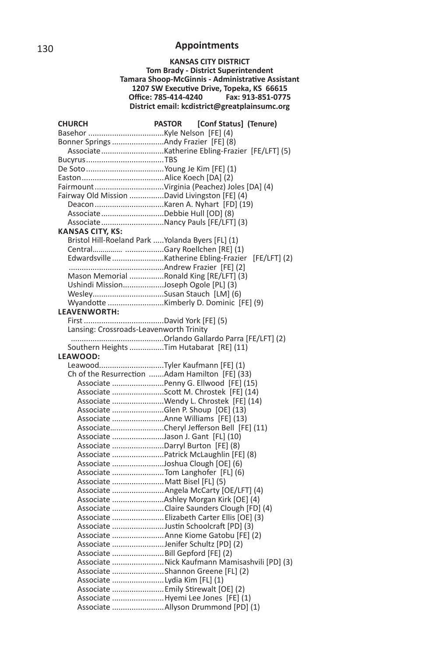**KANSAS CITY DISTRICT Tom Brady - District Superintendent Tamara Shoop-McGinnis - Administrative Assistant** 1207 SW Executive Drive, Topeka, KS 66615<br>Office: 785-414-4240 Fax: 913-851-0775 **Office: 785-414-4240 District email: kcdistrict@greatplainsumc.org**

| CHURCH                                            | [Conf Status] (Tenure)<br><b>PASTOR</b>         |
|---------------------------------------------------|-------------------------------------------------|
|                                                   |                                                 |
| Bonner Springs Andy Frazier [FE] (8)              |                                                 |
|                                                   | Associate Katherine Ebling-Frazier [FE/LFT] (5) |
|                                                   |                                                 |
|                                                   |                                                 |
|                                                   |                                                 |
|                                                   | FairmountVirginia (Peachez) Joles [DA] (4)      |
| Fairway Old Mission David Livingston [FE] (4)     |                                                 |
|                                                   |                                                 |
| AssociateDebbie Hull [OD] (8)                     |                                                 |
|                                                   | AssociateNancy Pauls [FE/LFT] (3)               |
| <b>KANSAS CITY, KS:</b>                           |                                                 |
| Bristol Hill-Roeland Park  Yolanda Byers [FL] (1) |                                                 |
|                                                   |                                                 |
|                                                   | $[FE/LFT]$ (2)                                  |
|                                                   |                                                 |
|                                                   | Mason Memorial Ronald King [RE/LFT] (3)         |
| Ushindi MissionJoseph Ogole [PL] (3)              |                                                 |
| WesleySusan Stauch [LM] (6)                       |                                                 |
|                                                   |                                                 |
| <b>LEAVENWORTH:</b>                               |                                                 |
|                                                   |                                                 |
| Lansing: Crossroads-Leavenworth Trinity           |                                                 |
|                                                   |                                                 |
|                                                   | Southern Heights Tim Hutabarat [RE] (11)        |
| LEAWOOD:                                          |                                                 |
|                                                   |                                                 |
|                                                   | Ch of the Resurrection Adam Hamilton [FE] (33)  |
|                                                   | Associate  Penny G. Ellwood [FE] (15)           |
|                                                   | Associate Scott M. Chrostek [FE] (14)           |
|                                                   | Associate Wendy L. Chrostek [FE] (14)           |
|                                                   | Associate Glen P. Shoup [OE] (13)               |
|                                                   | Associate Anne Williams [FE] (13)               |
|                                                   | AssociateCheryl Jefferson Bell [FE] (11)        |
|                                                   | Associate Jason J. Gant [FL] (10)               |
|                                                   | Associate Darryl Burton [FE] (8)                |
|                                                   | Associate  Patrick McLaughlin [FE] (8)          |
|                                                   | Associate Joshua Clough [OE] (6)                |
|                                                   | Associate Tom Langhofer [FL] (6)                |
| Associate Matt Bisel [FL] (5)                     |                                                 |
|                                                   | Associate  Angela McCarty [OE/LFT] (4)          |
|                                                   |                                                 |
|                                                   | Associate Claire Saunders Clough [FD] (4)       |
|                                                   | Associate  Elizabeth Carter Ellis [OE] (3)      |
|                                                   | Associate Justin Schoolcraft [PD] (3)           |
|                                                   | Associate  Anne Kiome Gatobu [FE] (2)           |
|                                                   | Associate Jenifer Schultz [PD] (2)              |
|                                                   | Associate  Bill Gepford [FE] (2)                |
|                                                   | Associate Nick Kaufmann Mamisashvili [PD] (3)   |
|                                                   | Associate Shannon Greene [FL] (2)               |
| Associate  Lydia Kim [FL] (1)                     |                                                 |
|                                                   | Associate  Emily Stirewalt [OE] (2)             |
|                                                   | Associate Hyemi Lee Jones [FE] (1)              |
|                                                   |                                                 |
|                                                   |                                                 |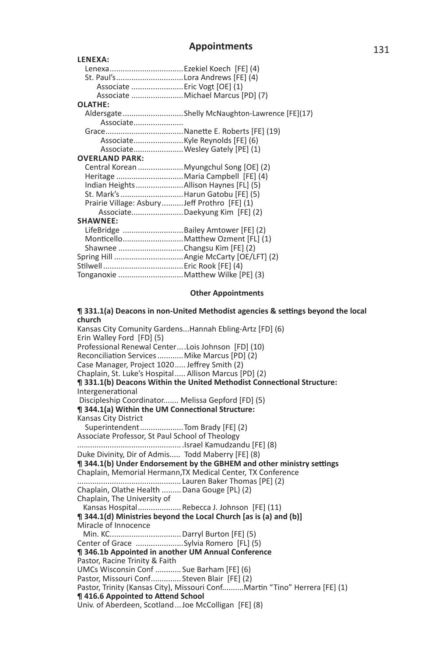#### **LENEXA:** Lenexa ..................................Ezekiel Koech [FE] (4) St. Paul's ...............................Lora Andrews [FE] (4) Associate ........................Eric Vogt [OE] (1) Associate ........................Michael Marcus [PD] (7) **OLATHE:** Aldersgate ............................Shelly McNaughton-Lawrence [FE](17) Associate....................... Grace ....................................NaneƩ e E. Roberts [FE] (19) Associate .......................Kyle Reynolds [FE] (6) Associate .......................Wesley Gately [PE] (1) **OVERLAND PARK:** Central Korean .....................Myungchul Song [OE] (2) Heritage ...............................Maria Campbell [FE] (4) Indian Heights ......................Allison Haynes [FL] (5) St. Mark's .............................Harun Gatobu [FE] (5) Prairie Village: Asbury ..........Jeff Prothro [FE] (1) Associate........................Daekyung Kim [FE] (2) **SHAWNEE:** LifeBridge ............................Bailey Amtower [FE] (2) Monticello ............................. Matthew Ozment [FL] (1) Shawnee ..............................Changsu Kim [FE] (2) Spring Hill ................................Angie McCarty [OE/LFT] (2) SƟ lwell .....................................Eric Rook [FE] (4) Tonganoxie ..............................MaƩ hew Wilke [PE] (3)

#### **Other Appointments**

#### **¶ 331.1(a) Deacons in non-United Methodist agencies & settings beyond the local church**

Kansas City Comunity Gardens...Hannah Ebling-Artz [FD] (6) Erin Walley Ford [FD] (5) Professional Renewal Center ....Lois Johnson [FD] (10) Reconciliation Services ............ Mike Marcus [PD] (2) Case Manager, Project 1020..... Jeffrey Smith (2) Chaplain, St. Luke's Hospital ..... Allison Marcus [PD] (2)  $\P$  331.1(b) Deacons Within the United Methodist Connectional Structure: **Intergenerational**  Discipleship Coordinator....... Melissa Gepford [FD] (5) **¶ 344.1(a) Within the UM Connectional Structure:** Kansas City District Superintendent ....................Tom Brady [FE] (2) Associate Professor, St Paul School of Theology ................................................ .Israel Kamudzandu [FE] (8) Duke Divinity, Dir of Admis..... Todd Maberry [FE] (8)  $\P$  344.1(b) Under Endorsement by the GBHEM and other ministry settings Chaplain, Memorial Hermann,TX Medical Center, TX Conference ................................................ Lauren Baker Thomas [PE] (2) Chaplain, Olathe Health ......... Dana Gouge [PL} (2) Chaplain, The University of Kansas Hospital .................... Rebecca J. Johnson [FE] (11) **¶ 344.1(d) Ministries beyond the Local Church [as is (a) and (b)]** Miracle of Innocence Min. KC ................................. Darryl Burton [FE] (5) Center of Grace ......................Sylvia Romero [FL] (5) **¶ 346.1b Appointed in another UM Annual Conference** Pastor, Racine Trinity & Faith UMCs Wisconsin Conf ............ Sue Barham [FE] (6) Pastor, Missouri Conf.............. Steven Blair [FE] (2) Pastor, Trinity (Kansas City), Missouri Conf..........Martin "Tino" Herrera [FE] (1) **¶ 416.6 Appointed to Attend School** Univ. of Aberdeen, Scotland ... Joe McColligan [FE] (8)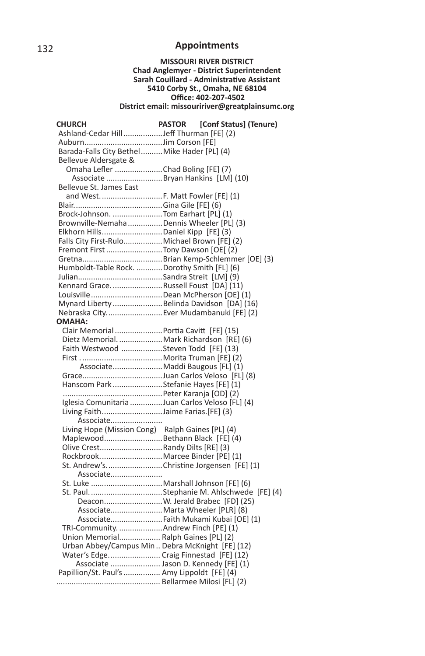#### **MISSOURI RIVER DISTRICT Chad Anglemyer - District Superintendent Sarah Couillard - Administrative Assistant 5410 Corby St., Omaha, NE 68104 Offi ce: 402-207-4502 District email: missouririver@greatplainsumc.org**

| CHURCH                                           | <b>PASTOR</b> | [Conf Status] (Tenure) |
|--------------------------------------------------|---------------|------------------------|
| Ashland-Cedar Hill Jeff Thurman [FE] (2)         |               |                        |
|                                                  |               |                        |
| Barada-Falls City Bethel  Mike Hader [PL] (4)    |               |                        |
| Bellevue Aldersgate &                            |               |                        |
| Omaha Lefler Chad Boling [FE] (7)                |               |                        |
| Associate  Bryan Hankins [LM] (10)               |               |                        |
| Bellevue St. James East                          |               |                        |
| and West.  F. Matt Fowler [FE] (1)               |               |                        |
|                                                  |               |                        |
| Brock-Johnson.  Tom Earhart [PL] (1)             |               |                        |
| Brownville-Nemaha Dennis Wheeler [PL] (3)        |               |                        |
| Elkhorn Hills Daniel Kipp [FE] (3)               |               |                        |
| Falls City First-Rulo Michael Brown [FE] (2)     |               |                        |
| Fremont First  Tony Dawson [OE[ (2)              |               |                        |
|                                                  |               |                        |
| Humboldt-Table Rock. Dorothy Smith [FL] (6)      |               |                        |
|                                                  |               |                        |
| Kennard GraceRussell Foust [DA] (11)             |               |                        |
|                                                  |               |                        |
| Mynard Liberty Belinda Davidson [DA] (16)        |               |                        |
| Nebraska City.  Ever Mudambanuki [FE] (2)        |               |                        |
| <b>OMAHA:</b>                                    |               |                        |
| Clair Memorial  Portia Cavitt [FE] (15)          |               |                        |
| Dietz MemorialMark Richardson [RE] (6)           |               |                        |
| Faith Westwood Steven Todd [FE] (13)             |               |                        |
|                                                  |               |                        |
| AssociateMaddi Baugous [FL] (1)                  |               |                        |
|                                                  |               |                        |
| Hanscom Park Stefanie Hayes [FE] (1)             |               |                        |
|                                                  |               |                        |
| Iglesia Comunitaria Juan Carlos Veloso [FL] (4)  |               |                        |
| Living FaithJaime Farias.[FE] (3)                |               |                        |
| Associate                                        |               |                        |
| Living Hope (Mission Cong) Ralph Gaines [PL] (4) |               |                        |
| Maplewood Bethann Black [FE] (4)                 |               |                        |
| Olive CrestRandy Dilts [RE] (3)                  |               |                        |
| RockbrookMarcee Binder [PE] (1)                  |               |                        |
| St. Andrew'sChristine Jorgensen [FE] (1)         |               |                        |
| Associate                                        |               |                        |
|                                                  |               |                        |
|                                                  |               |                        |
| Deacon W. Jerald Brabec [FD] (25)                |               |                        |
| Associate Marta Wheeler [PLR] (8)                |               |                        |
| Associate Faith Mukami Kubai [OE] (1)            |               |                        |
| TRI-Community. Andrew Finch [PE] (1)             |               |                        |
| Union Memorial Ralph Gaines [PL] (2)             |               |                        |
| Urban Abbey/Campus Min Debra McKnight [FE] (12)  |               |                        |
| Water's Edge Craig Finnestad [FE] (12)           |               |                        |
| Associate  Jason D. Kennedy [FE] (1)             |               |                        |
| Papillion/St. Paul's  Amy Lippoldt [FE] (4)      |               |                        |
|                                                  |               |                        |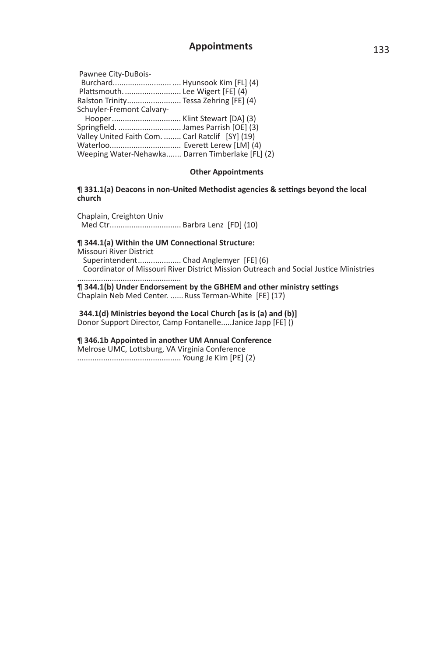| Pawnee City-DuBois-                              |  |
|--------------------------------------------------|--|
|                                                  |  |
| Plattsmouth Lee Wigert [FE] (4)                  |  |
| Ralston Trinity Tessa Zehring [FE] (4)           |  |
| Schuyler-Fremont Calvary-                        |  |
|                                                  |  |
|                                                  |  |
| Valley United Faith Com.  Carl Ratclif [SY] (19) |  |
|                                                  |  |
| Weeping Water-Nehawka Darren Timberlake [FL] (2) |  |
|                                                  |  |

### **Other Appointments**

#### **¶ 331.1(a) Deacons in non-United Methodist agencies & settings beyond the local church**

Chaplain, Creighton Univ Med Ctr ................................. Barbra Lenz [FD] (10)

**¶ 344.1(a) Within the UM Connectional Structure:** Missouri River District Superintendent......................... Chad Anglemyer [FE] (6) Coordinator of Missouri River District Mission Outreach and Social Justice Ministries

................................................  $\P$  344.1(b) Under Endorsement by the GBHEM and other ministry settings Chaplain Neb Med Center. ......Russ Terman-White [FE] (17)

 **344.1(d) Ministries beyond the Local Church [as is (a) and (b)]** Donor Support Director, Camp Fontanelle.....Janice Japp [FE] ()

**¶ 346.1b Appointed in another UM Annual Conference** Melrose UMC, Lottsburg, VA Virginia Conference ................................................ Young Je Kim [PE] (2)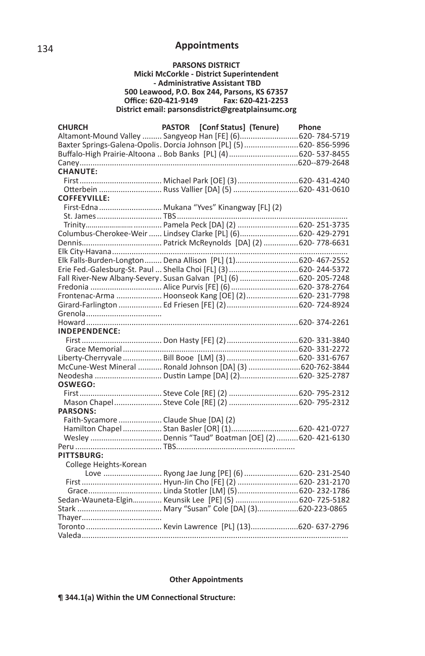#### **PARSONS DISTRICT**

#### **Micki McCorkle - District Superintendent - AdministraƟ ve Assistant TBD 500 Leawood, P.O. Box 244, Parsons, KS 67357 Office: 620-421-9149 District email: parsonsdistrict@greatplainsumc.org**

| <b>CHURCH</b>                                                       | PASTOR [Conf Status] (Tenure) Phone            |  |
|---------------------------------------------------------------------|------------------------------------------------|--|
| Altamont-Mound Valley  Sangyeop Han [FE] (6) 620-784-5719           |                                                |  |
| Baxter Springs-Galena-Opolis. Dorcia Johnson [PL] (5)  620-856-5996 |                                                |  |
|                                                                     |                                                |  |
|                                                                     |                                                |  |
| <b>CHANUTE:</b>                                                     |                                                |  |
|                                                                     |                                                |  |
|                                                                     | Otterbein Russ Vallier [DA] (5)  620- 431-0610 |  |
| <b>COFFEYVILLE:</b>                                                 |                                                |  |
| -------------<br>First-Edna  Mukana "Yves" Kinangway [FL] (2)       |                                                |  |
|                                                                     |                                                |  |
|                                                                     |                                                |  |
| Columbus-Cherokee-Weir  Lindsey Clarke [PL] (6) 620- 429-2791       |                                                |  |
|                                                                     |                                                |  |
|                                                                     |                                                |  |
| Elk Falls-Burden-Longton Dena Allison [PL] (1) 620- 467-2552        |                                                |  |
| Erie Fed.-Galesburg-St. Paul  Shella Choi [FL] (3)  620- 244-5372   |                                                |  |
| Fall River-New Albany-Severy. Susan Galvan [PL] (6) 620-205-7248    |                                                |  |
| Fredonia  Alice Purvis [FE] (6)  620- 378-2764                      |                                                |  |
| Frontenac-Arma  Hoonseok Kang [OE] (2) 620-231-7798                 |                                                |  |
|                                                                     |                                                |  |
|                                                                     |                                                |  |
|                                                                     |                                                |  |
| <b>INDEPENDENCE:</b>                                                |                                                |  |
|                                                                     |                                                |  |
|                                                                     |                                                |  |
|                                                                     |                                                |  |
| McCune-West Mineral  Ronald Johnson [DA] (3) 620-762-3844           |                                                |  |
|                                                                     |                                                |  |
| OSWEGO:                                                             |                                                |  |
|                                                                     |                                                |  |
|                                                                     |                                                |  |
| <b>PARSONS:</b>                                                     |                                                |  |
| Faith-Sycamore  Claude Shue [DA] (2)                                |                                                |  |
|                                                                     |                                                |  |
|                                                                     |                                                |  |
|                                                                     |                                                |  |
| <b>PITTSBURG:</b>                                                   |                                                |  |
| College Heights-Korean                                              |                                                |  |
|                                                                     | Love  Ryong Jae Jung [PE] (6)  620-231-2540    |  |
|                                                                     |                                                |  |
|                                                                     |                                                |  |
| Sedan-Wauneta-Elgin Keunsik Lee [PE] (5)  620-725-5182              |                                                |  |
|                                                                     |                                                |  |
|                                                                     |                                                |  |
|                                                                     |                                                |  |
|                                                                     |                                                |  |
|                                                                     |                                                |  |

### **Other Appointments**

 $\P$  344.1(a) Within the UM Connectional Structure: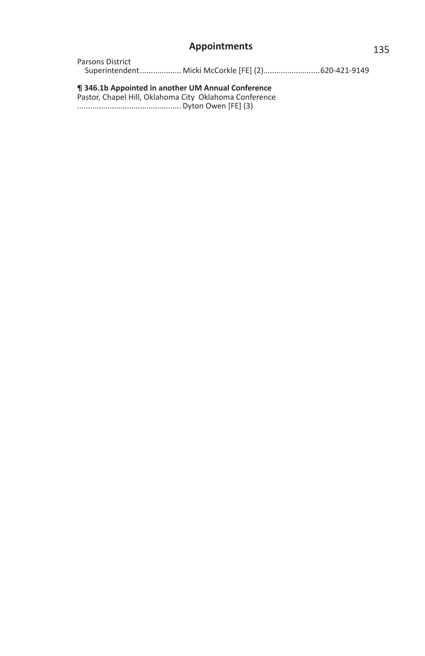| Parsons District                                    |  |
|-----------------------------------------------------|--|
| Superintendent Micki McCorkle [FE] (2) 620-421-9149 |  |

**¶ 346.1b Appointed in another UM Annual Conference**

Pastor, Chapel Hill, Oklahoma City Oklahoma Conference ................................................ Dyton Owen [FE] (3)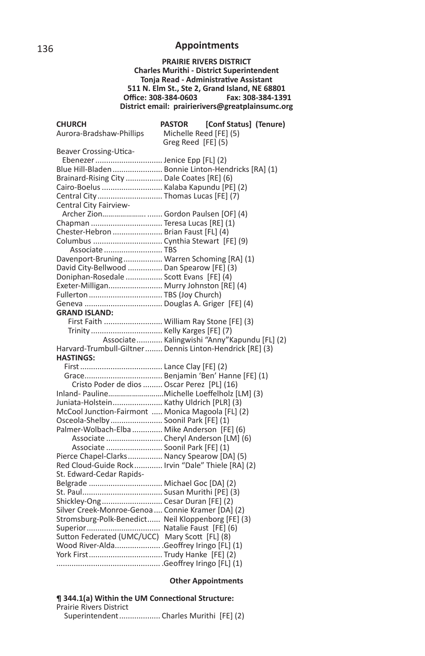**PRAIRIE RIVERS DISTRICT Charles Murithi - District Superintendent Tonja Read - Administrative Assistant 511 N. Elm St., Ste 2, Grand Island, NE 68801 Office: 308-384-0603 District email: prairierivers@greatplainsumc.org**

| <b>CHURCH</b>                                            | <b>PASTOR</b>          | [Conf Status] (Tenure)                         |
|----------------------------------------------------------|------------------------|------------------------------------------------|
| Aurora-Bradshaw-Phillips                                 | Michelle Reed [FE] (5) |                                                |
|                                                          | Greg Reed [FE] (5)     |                                                |
| Beaver Crossing-Utica-                                   |                        |                                                |
| Ebenezer  Jenice Epp [FL] (2)                            |                        |                                                |
| Blue Hill-Bladen  Bonnie Linton-Hendricks [RA] (1)       |                        |                                                |
| Brainard-Rising City  Dale Coates [RE] (6)               |                        |                                                |
| Cairo-Boelus  Kalaba Kapundu [PE] (2)                    |                        |                                                |
| Central City Thomas Lucas [FE] (7)                       |                        |                                                |
| Central City Fairview-                                   |                        |                                                |
| Archer Zion Gordon Paulsen [OF] (4)                      |                        |                                                |
| Chapman  Teresa Lucas [RE] (1)                           |                        |                                                |
| Chester-Hebron  Brian Faust [FL] (4)                     |                        |                                                |
|                                                          |                        |                                                |
| Associate  TBS                                           |                        |                                                |
| Davenport-Bruning Warren Schoming [RA] (1)               |                        |                                                |
| David City-Bellwood  Dan Spearow [FE] (3)                |                        |                                                |
| Doniphan-Rosedale  Scott Evans [FE] (4)                  |                        |                                                |
| Exeter-Milligan Murry Johnston [RE] (4)                  |                        |                                                |
| Fullerton  TBS (Joy Church)                              |                        |                                                |
|                                                          |                        |                                                |
| <b>GRAND ISLAND:</b>                                     |                        |                                                |
| First Faith  William Ray Stone [FE] (3)                  |                        |                                                |
| Trinity  Kelly Karges [FE] (7)                           |                        |                                                |
|                                                          |                        | Associate  Kalingwishi "Anny" Kapundu [FL] (2) |
| Harvard-Trumbull-Giltner Dennis Linton-Hendrick [RE] (3) |                        |                                                |
| <b>HASTINGS:</b>                                         |                        |                                                |
|                                                          |                        |                                                |
|                                                          |                        |                                                |
| Cristo Poder de dios  Oscar Perez [PL] (16)              |                        |                                                |
|                                                          |                        |                                                |
| Juniata-Holstein Kathy Uldrich [PLR] (3)                 |                        |                                                |
| McCool Junction-Fairmont  Monica Magoola [FL] (2)        |                        |                                                |
| Osceola-Shelby Soonil Park [FE] (1)                      |                        |                                                |
| Palmer-Wolbach-Elba  Mike Anderson [FE] (6)              |                        |                                                |
| Associate  Cheryl Anderson [LM] (6)                      |                        |                                                |
| Associate  Soonil Park [FE] (1)                          |                        |                                                |
| Pierce Chapel-Clarks Nancy Spearow [DA] (5)              |                        |                                                |
| Red Cloud-Guide Rock Irvin "Dale" Thiele [RA] (2)        |                        |                                                |
| St. Edward-Cedar Rapids-                                 |                        |                                                |
| Belgrade  Michael Goc [DA] (2)                           |                        |                                                |
|                                                          |                        |                                                |
| Shickley-Ong Cesar Duran [FE] (2)                        |                        |                                                |
| Silver Creek-Monroe-Genoa  Connie Kramer [DA] (2)        |                        |                                                |
| Stromsburg-Polk-Benedict Neil Kloppenborg [FE] (3)       |                        |                                                |
|                                                          |                        |                                                |
| Sutton Federated (UMC/UCC) Mary Scott [FL] (8)           |                        |                                                |
| Wood River-AldaGeoffrey Iringo [FL] (1)                  |                        |                                                |
| York First Trudy Hanke [FE] (2)                          |                        |                                                |
|                                                          |                        |                                                |

### **Other Appointments**

| ¶ 344.1(a) Within the UM Connectional Structure: |  |
|--------------------------------------------------|--|
| <b>Prairie Rivers District</b>                   |  |
| Superintendent Charles Murithi [FE] (2)          |  |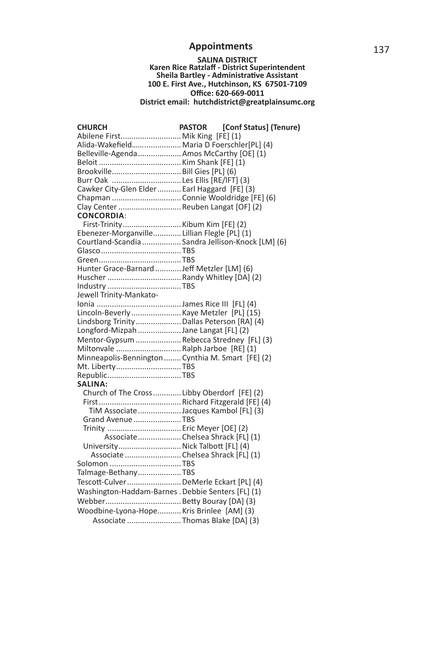# **SALINA DISTRICT Karen Rice Ratzlaff - District Superintendent Sheila Bartley - AdministraƟ ve Assistant 100 E. First Ave., Hutchinson, KS 67501-7109 Offi ce: 620-669-0011 District email: hutchdistrict@greatplainsumc.org**

| <b>CHURCH</b>                                      | [Conf Status] (Tenure)<br><b>PASTOR</b>           |  |
|----------------------------------------------------|---------------------------------------------------|--|
| Abilene First Mik King [FE] (1)                    |                                                   |  |
| Alida-Wakefield Maria D Foerschler[PL] (4)         |                                                   |  |
| Belleville-Agenda  Amos McCarthy [OE] (1)          |                                                   |  |
|                                                    |                                                   |  |
| Brookville Bill Gies [PL] (6)                      |                                                   |  |
| Burr Oak  Les Ellis [RE/IFT] (3)                   |                                                   |  |
| Cawker City-Glen Elder  Earl Haggard [FE] (3)      |                                                   |  |
| Chapman  Connie Wooldridge [FE] (6)                |                                                   |  |
| Clay Center  Reuben Langat [OF] (2)                |                                                   |  |
| <b>CONCORDIA:</b>                                  |                                                   |  |
|                                                    |                                                   |  |
| Ebenezer-Morganville Lillian Flegle [PL] (1)       |                                                   |  |
|                                                    | Courtland-Scandia  Sandra Jellison-Knock [LM] (6) |  |
|                                                    |                                                   |  |
|                                                    |                                                   |  |
| Hunter Grace-Barnard  Jeff Metzler [LM] (6)        |                                                   |  |
|                                                    |                                                   |  |
|                                                    |                                                   |  |
| Jewell Trinity-Mankato-                            |                                                   |  |
|                                                    |                                                   |  |
| Lincoln-Beverly Kaye Metzler [PL] (15)             |                                                   |  |
| Lindsborg Trinity  Dallas Peterson [RA] (4)        |                                                   |  |
| Longford-Mizpah Jane Langat [FL] (2)               |                                                   |  |
| Mentor-Gypsum  Rebecca Stredney [FL] (3)           |                                                   |  |
| Miltonvale Ralph Jarboe [RE] (1)                   |                                                   |  |
| Minneapolis-Bennington Cynthia M. Smart [FE] (2)   |                                                   |  |
| Mt. LibertyTBS                                     |                                                   |  |
| RepublicTBS                                        |                                                   |  |
| <b>SALINA:</b>                                     |                                                   |  |
| Church of The Cross Libby Oberdorf [FE] (2)        |                                                   |  |
|                                                    |                                                   |  |
| TiM Associate Jacques Kambol [FL] (3)              |                                                   |  |
| Grand Avenue TBS                                   |                                                   |  |
| Trinity  Eric Meyer [OE] (2)                       |                                                   |  |
|                                                    | Associate Chelsea Shrack [FL] (1)                 |  |
| University Nick Talbott [FL] (4)                   |                                                   |  |
| Associate  Chelsea Shrack [FL] (1)                 |                                                   |  |
| Solomon TBS                                        |                                                   |  |
| Talmage-BethanyTBS                                 |                                                   |  |
| Tescott-Culver DeMerle Eckart [PL] (4)             |                                                   |  |
| Washington-Haddam-Barnes . Debbie Senters [FL] (1) |                                                   |  |
|                                                    |                                                   |  |
|                                                    |                                                   |  |
| Woodbine-Lyona-Hope Kris Brinlee [AM] (3)          |                                                   |  |
| Associate  Thomas Blake [DA] (3)                   |                                                   |  |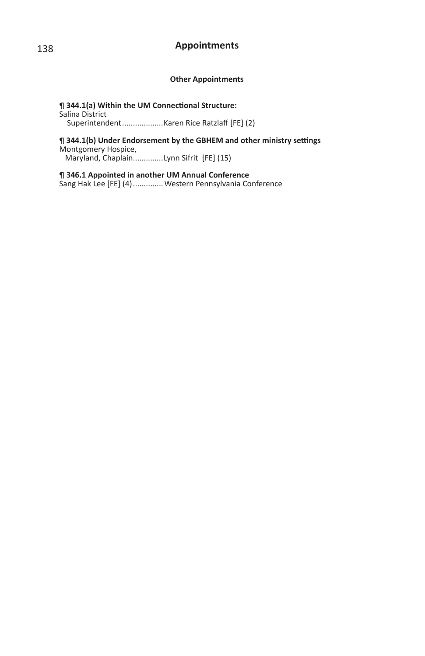### **Other Appointments**

**¶ 344.1(a) Within the UM Connectional Structure:** Salina District Superintendent ...................Karen Rice Ratzlaff [FE] (2)

 $\P$  344.1(b) Under Endorsement by the GBHEM and other ministry settings

Montgomery Hospice,

Maryland, Chaplain.............Lynn Sifrit [FE] (15)

**¶ 346.1 Appointed in another UM Annual Conference** Sang Hak Lee [FE] (4) .............. Western Pennsylvania Conference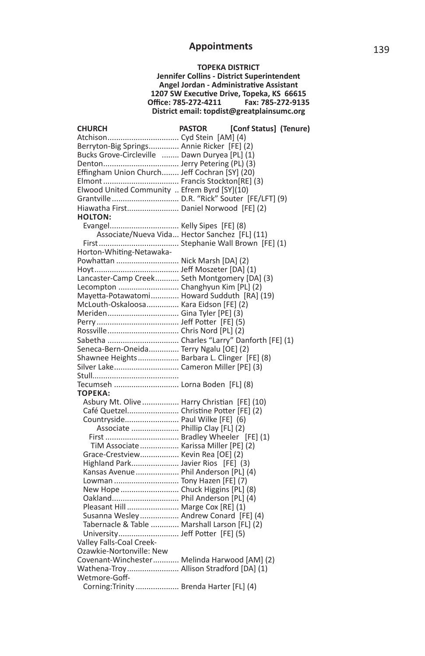**TOPEKA DISTRICT Jennifer Collins - District Superintendent Angel Jordan - Administrative Assistant** 1207 SW Executive Drive, Topeka, KS 66615 **Offi ce: 785-272-4211 Fax: 785-272-9135 District email: topdist@greatplainsumc.org**

| <b>CHURCH</b>                                                            | <b>PASTOR</b> | [Conf Status] (Tenure) |  |
|--------------------------------------------------------------------------|---------------|------------------------|--|
| Atchison Cyd Stein [AM] (4)                                              |               |                        |  |
| Berryton-Big Springs Annie Ricker [FE] (2)                               |               |                        |  |
| Bucks Grove-Circleville  Dawn Duryea [PL] (1)                            |               |                        |  |
|                                                                          |               |                        |  |
| Effingham Union Church Jeff Cochran [SY] (20)                            |               |                        |  |
|                                                                          |               |                        |  |
| Elwood United Community  Efrem Byrd [SY](10)                             |               |                        |  |
|                                                                          |               |                        |  |
| Hiawatha First Daniel Norwood [FE] (2)                                   |               |                        |  |
| <b>HOLTON:</b>                                                           |               |                        |  |
| Evangel Kelly Sipes [FE] (8)                                             |               |                        |  |
| Associate/Nueva Vida Hector Sanchez [FL] (11)                            |               |                        |  |
|                                                                          |               |                        |  |
| Horton-Whiting-Netawaka-                                                 |               |                        |  |
| Powhattan  Nick Marsh [DA] (2)                                           |               |                        |  |
|                                                                          |               |                        |  |
| Lancaster-Camp Creek Seth Montgomery [DA] (3)                            |               |                        |  |
| Lecompton  Changhyun Kim [PL] (2)                                        |               |                        |  |
| Mayetta-Potawatomi Howard Sudduth [RA] (19)                              |               |                        |  |
| McLouth-Oskaloosa Kara Eidson [FE] (2)                                   |               |                        |  |
| Meriden Gina Tyler [PE] (3)                                              |               |                        |  |
|                                                                          |               |                        |  |
|                                                                          |               |                        |  |
|                                                                          |               |                        |  |
| Seneca-Bern-Oneida Terry Ngalu [OE] (2)                                  |               |                        |  |
| Shawnee Heights  Barbara L. Clinger [FE] (8)                             |               |                        |  |
| Silver Lake Cameron Miller [PE] (3)                                      |               |                        |  |
|                                                                          |               |                        |  |
| Tecumseh  Lorna Boden [FL] (8)                                           |               |                        |  |
| <b>TOPEKA:</b>                                                           |               |                        |  |
| Asbury Mt. Olive  Harry Christian [FE] (10)                              |               |                        |  |
| Café Quetzel Christine Potter [FE] (2)                                   |               |                        |  |
| Countryside Paul Wilke [FE] (6)                                          |               |                        |  |
| Associate  Phillip Clay [FL] (2)                                         |               |                        |  |
|                                                                          |               |                        |  |
| TiM Associate  Karissa Miller [PE] (2)                                   |               |                        |  |
| Grace-Crestview Kevin Rea [OE] (2)<br>Highland Park Javier Rios [FE] (3) |               |                        |  |
| Kansas Avenue  Phil Anderson [PL] (4)                                    |               |                        |  |
| Lowman  Tony Hazen [FE] (7)                                              |               |                        |  |
| New Hope  Chuck Higgins [PL] (8)                                         |               |                        |  |
| Oakland Phil Anderson [PL] (4)                                           |               |                        |  |
| Pleasant Hill  Marge Cox [RE] (1)                                        |               |                        |  |
| Susanna Wesley  Andrew Conard [FE] (4)                                   |               |                        |  |
| Tabernacle & Table  Marshall Larson [FL] (2)                             |               |                        |  |
| University Jeff Potter [FE] (5)                                          |               |                        |  |
| Valley Falls-Coal Creek-                                                 |               |                        |  |
| Ozawkie-Nortonville: New                                                 |               |                        |  |
| Covenant-Winchester Melinda Harwood [AM] (2)                             |               |                        |  |
| Wathena-Troy Allison Stradford [DA] (1)                                  |               |                        |  |
| Wetmore-Goff-                                                            |               |                        |  |
| Corning: Trinity  Brenda Harter [FL] (4)                                 |               |                        |  |
|                                                                          |               |                        |  |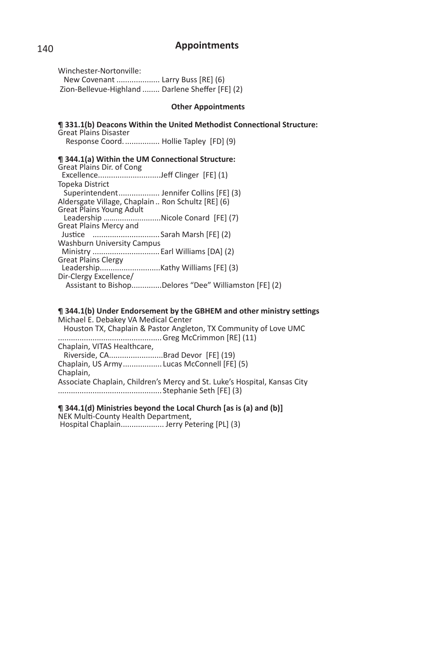Winchester-Nortonville: New Covenant .................... Larry Buss [RE] (6) Zion-Bellevue-Highland ........ Darlene Sheffer [FE] (2)

#### **Other Appointments**

 $\P$  331.1(b) Deacons Within the United Methodist Connectional Structure: Great Plains Disaster Response Coord. ................ Hollie Tapley [FD] (9) **¶ 344.1(a) Within the UM Connectional Structure:** Great Plains Dir. of Cong Excellence.............................Jeff Clinger [FE] (1) Topeka District Superintendent ....................... Jennifer Collins [FE] (3) Aldersgate Village, Chaplain .. Ron Schultz [RE] (6) Great Plains Young Adult Leadership …….....................Nicole Conard [FE] (7) Great Plains Mercy and Justice ................................Sarah Marsh [FE] (2) Washburn University Campus Ministry ...............................Earl Williams [DA] (2) Great Plains Clergy Leadership............................Kathy Williams [FE] (3) Dir-Clergy Excellence/ Assistant to Bishop..............Delores "Dee" Williamston [FE] (2)

### $\P$  344.1(b) Under Endorsement by the GBHEM and other ministry settings

Michael E. Debakey VA Medical Center Houston TX, Chaplain & Pastor Angleton, TX Community of Love UMC ................................................ Greg McCrimmon [RE] (11) Chaplain, VITAS Healthcare, Riverside, CA.........................Brad Devor [FE] (19) Chaplain, US Army .................. Lucas McConnell [FE] (5) Chaplain, Associate Chaplain, Children's Mercy and St. Luke's Hospital, Kansas City ................................................ Stephanie Seth [FE] (3)

#### **¶ 344.1(d) Ministries beyond the Local Church [as is (a) and (b)]** NEK Multi-County Health Department, Hospital Chaplain..................... Jerry Petering [PL] (3)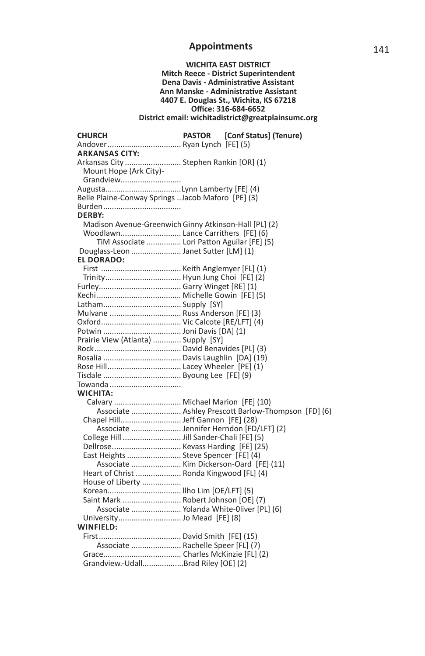### **WICHITA EAST DISTRICT**

#### **Mitch Reece - District Superintendent Dena Davis - Administrative Assistant Ann Manske - AdministraƟ ve Assistant 4407 E. Douglas St., Wichita, KS 67218 Offi ce: 316-684-6652 District email: wichitadistrict@greatplainsumc.org**

| <b>CHURCH</b>                                         | <b>PASTOR</b> | [Conf Status] (Tenure)                              |
|-------------------------------------------------------|---------------|-----------------------------------------------------|
| Andover Ryan Lynch [FE] (5)                           |               |                                                     |
| <b>ARKANSAS CITY:</b>                                 |               |                                                     |
| Arkansas City  Stephen Rankin [OR] (1)                |               |                                                     |
| Mount Hope (Ark City)-                                |               |                                                     |
| Grandview                                             |               |                                                     |
| AugustaLynn Lamberty [FE] (4)                         |               |                                                     |
| Belle Plaine-Conway Springs Jacob Maforo [PE] (3)     |               |                                                     |
|                                                       |               |                                                     |
| <b>DERBY:</b>                                         |               |                                                     |
| Madison Avenue-Greenwich Ginny Atkinson-Hall [PL] (2) |               |                                                     |
| Woodlawn Lance Carrithers [FE] (6)                    |               |                                                     |
| TiM Associate  Lori Patton Aguilar [FE] (5)           |               |                                                     |
| Douglass-Leon  Janet Sutter [LM] (1)                  |               |                                                     |
| <b>EL DORADO:</b>                                     |               |                                                     |
|                                                       |               |                                                     |
|                                                       |               |                                                     |
|                                                       |               |                                                     |
|                                                       |               |                                                     |
|                                                       |               |                                                     |
| Mulvane  Russ Anderson [FE] (3)                       |               |                                                     |
|                                                       |               |                                                     |
|                                                       |               |                                                     |
| Prairie View (Atlanta)  Supply [SY]                   |               |                                                     |
|                                                       |               |                                                     |
|                                                       |               |                                                     |
|                                                       |               |                                                     |
|                                                       |               |                                                     |
| Towanda                                               |               |                                                     |
| WICHITA:                                              |               |                                                     |
| Calvary  Michael Marion [FE] (10)                     |               |                                                     |
|                                                       |               | Associate  Ashley Prescott Barlow-Thompson [FD] (6) |
|                                                       |               |                                                     |
| Associate  Jennifer Herndon [FD/LFT] (2)              |               |                                                     |
|                                                       |               |                                                     |
|                                                       |               |                                                     |
| East Heights  Steve Spencer [FE] (4)                  |               |                                                     |
| Associate  Kim Dickerson-Oard [FE] (11)               |               |                                                     |
| Heart of Christ  Ronda Kingwood [FL] (4)              |               |                                                     |
| House of Liberty                                      |               |                                                     |
| Korean Ilho Lim [OE/LFT] (5)                          |               |                                                     |
| Saint Mark  Robert Johnson [OE] (7)                   |               |                                                     |
| Associate  Yolanda White-Oliver [PL] (6)              |               |                                                     |
|                                                       |               |                                                     |
| WINFIELD:                                             |               |                                                     |
|                                                       |               |                                                     |
| Associate  Rachelle Speer [FL] (7)                    |               |                                                     |
|                                                       |               |                                                     |
| Grandview.-UdallBrad Riley [OE] (2)                   |               |                                                     |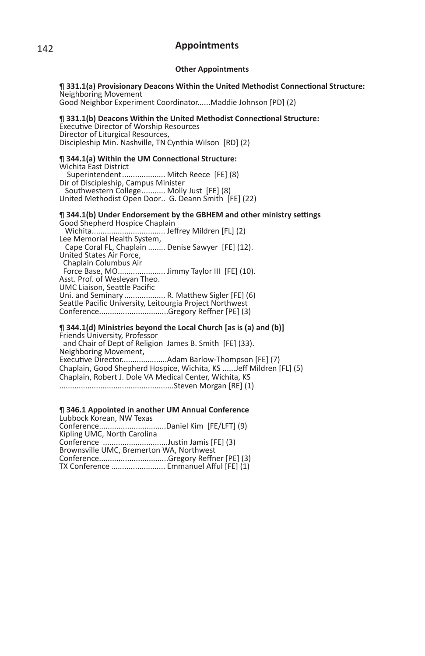#### **Other Appointments**

#### $\P$  331.1(a) Provisionary Deacons Within the United Methodist Connectional Structure: Neighboring Movement Good Neighbor Experiment Coordinator......Maddie Johnson [PD] (2)

 $\P$  331.1(b) Deacons Within the United Methodist Connectional Structure: Executive Director of Worship Resources Director of Liturgical Resources,

Discipleship Min. Nashville, TN Cynthia Wilson [RD] (2)

#### **¶ 344.1(a) Within the UM Connectional Structure:**

Wichita East District Superintendent .................... Mitch Reece [FE] (8) Dir of Discipleship, Campus Minister Southwestern College ........... Molly Just [FE] (8) United Methodist Open Door .. G. Deann Smith [FE] (22)

#### $\P$  344.1(b) Under Endorsement by the GBHEM and other ministry settings Good Shepherd Hospice Chaplain

 Wichita .................................. Jeff rey Mildren [FL] (2) Lee Memorial Health System, Cape Coral FL, Chaplain ........ Denise Sawyer [FE] (12). United States Air Force, Chaplain Columbus Air Force Base, MO......................... Jimmy Taylor III [FE] (10).<br>Asst. Prof. of Wesleyan Theo. UMC Liaison, Seattle Pacific<br>Uni. and Seminary .................. R. Matthew Sigler [FE] (6) Seattle Pacific University, Leitourgia Project Northwest Conference................................Gregory Reffner [PE] (3)

### **¶ 344.1(d) Ministries beyond the Local Church [as is (a) and (b)]**

Friends University, Professor and Chair of Dept of Religion James B. Smith [FE] (33). Neighboring Movement, ExecuƟ ve Director.....................Adam Barlow-Thompson [FE] (7) Chaplain, Good Shepherd Hospice, Wichita, KS ......Jeff Mildren [FL] (5) Chaplain, Robert J. Dole VA Medical Center, Wichita, KS .....................................................Steven Morgan [RE] (1)

### **¶ 346.1 Appointed in another UM Annual Conference**

Lubbock Korean, NW Texas Conference...............................Daniel Kim [FE/LFT] (9) Kipling UMC, North Carolina Conference ..............................JusƟ n Jamis [FE] (3) Brownsville UMC, Bremerton WA, Northwest Conference................................Gregory Reff ner [PE] (3) TX Conference ......................... Emmanuel Aff ul [FE] (1)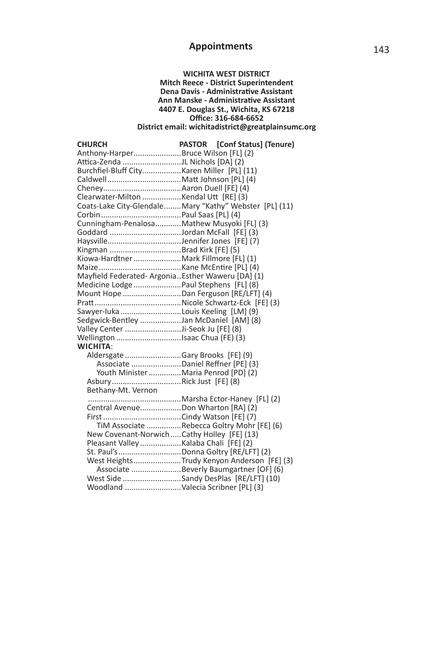#### **WICHITA WEST DISTRICT Mitch Reece - District Superintendent Dena Davis - Administrative Assistant Ann Manske - Administrative Assistant 4407 E. Douglas St., Wichita, KS 67218 Offi ce: 316-684-6652 District email: wichitadistrict@greatplainsumc.org**

| <b>CHURCH</b>                                    | PASTOR [Conf Status] (Tenure)                           |
|--------------------------------------------------|---------------------------------------------------------|
| Anthony-HarperBruce Wilson [FL] (2)              |                                                         |
| Attica-Zenda JL Nichols [DA] (2)                 |                                                         |
| Burchfiel-Bluff CityKaren Miller [PL] (11)       |                                                         |
|                                                  |                                                         |
|                                                  |                                                         |
| Clearwater-Milton Kendal Utt [RE] (3)            |                                                         |
|                                                  | Coats-Lake City-Glendale Mary "Kathy" Webster [PL] (11) |
|                                                  |                                                         |
| Cunningham-PenalosaMathew Musyoki [FL] (3)       |                                                         |
|                                                  |                                                         |
| HaysvilleJennifer Jones [FE] (7)                 |                                                         |
| Kingman Brad Kirk [FE] (5)                       |                                                         |
| Kiowa-Hardtner  Mark Fillmore [FL] (1)           |                                                         |
|                                                  |                                                         |
| Mayfield Federated-ArgoniaEsther Waweru [DA] (1) |                                                         |
| Medicine Lodge  Paul Stephens [FL] (8)           |                                                         |
| Mount Hope  Dan Ferguson [RE/LFT] (4)            |                                                         |
|                                                  |                                                         |
| Sawyer-luka Louis Keeling [LM] (9)               |                                                         |
| Sedgwick-Bentley Jan McDaniel [AM] (8)           |                                                         |
| Valley Center Ji-Seok Ju [FE] (8)                |                                                         |
| Wellington Isaac Chua (FE) (3)                   |                                                         |
| WICHITA:                                         |                                                         |
| Aldersgate Gary Brooks [FE] (9)                  |                                                         |
| Associate  Daniel Reffner [PE] (3)               |                                                         |
| Youth Minister  Maria Penrod [PD] (2)            |                                                         |
| AsburyRick Just [FE] (8)                         |                                                         |
| Bethany-Mt. Vernon                               |                                                         |
|                                                  |                                                         |
| Central AvenueDon Wharton [RA] (2)               |                                                         |
|                                                  |                                                         |
|                                                  | TiM Associate Rebecca Goltry Mohr [FE] (6)              |
| New Covenant-NorwichCathy Holley [FE] (13)       |                                                         |
| Pleasant Valley Kalaba Chali [FE] (2)            |                                                         |
| St. Paul'sDonna Goltry [RE/LFT] (2)              |                                                         |
|                                                  | West HeightsTrudy Kenyon Anderson [FE] (3)              |
|                                                  | Associate Beverly Baumgartner [OF] (6)                  |
|                                                  | West Side Sandy DesPlas [RE/LFT] (10)                   |
| Woodland  Valecia Scribner [PL] (3)              |                                                         |